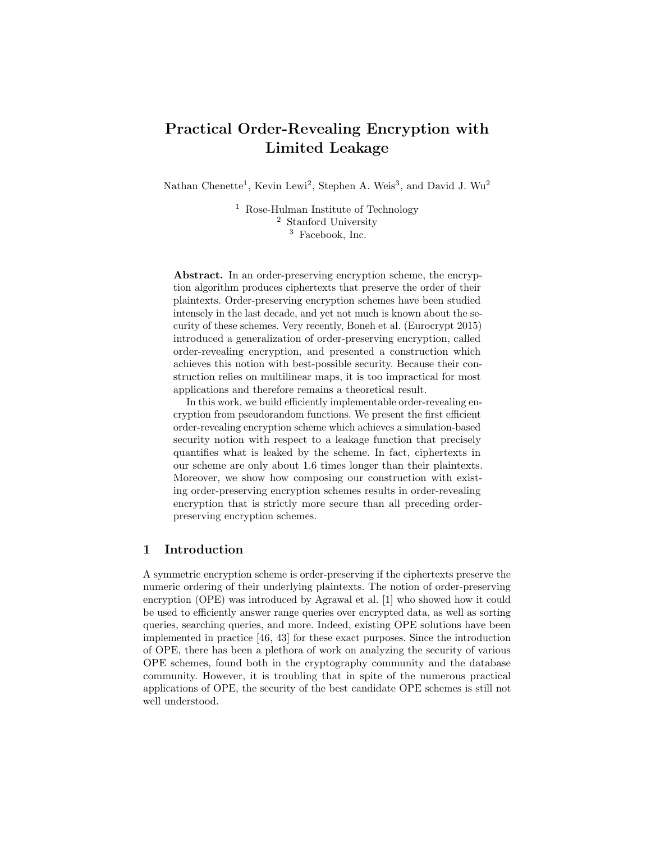# <span id="page-0-0"></span>Practical Order-Revealing Encryption with Limited Leakage

Nathan Chenette<sup>1</sup>, Kevin Lewi<sup>2</sup>, Stephen A. Weis<sup>3</sup>, and David J. Wu<sup>2</sup>

<sup>1</sup> Rose-Hulman Institute of Technology <sup>2</sup> Stanford University <sup>3</sup> Facebook, Inc.

Abstract. In an order-preserving encryption scheme, the encryption algorithm produces ciphertexts that preserve the order of their plaintexts. Order-preserving encryption schemes have been studied intensely in the last decade, and yet not much is known about the security of these schemes. Very recently, Boneh et al. (Eurocrypt 2015) introduced a generalization of order-preserving encryption, called order-revealing encryption, and presented a construction which achieves this notion with best-possible security. Because their construction relies on multilinear maps, it is too impractical for most applications and therefore remains a theoretical result.

In this work, we build efficiently implementable order-revealing encryption from pseudorandom functions. We present the first efficient order-revealing encryption scheme which achieves a simulation-based security notion with respect to a leakage function that precisely quantifies what is leaked by the scheme. In fact, ciphertexts in our scheme are only about 1.6 times longer than their plaintexts. Moreover, we show how composing our construction with existing order-preserving encryption schemes results in order-revealing encryption that is strictly more secure than all preceding orderpreserving encryption schemes.

# 1 Introduction

A symmetric encryption scheme is order-preserving if the ciphertexts preserve the numeric ordering of their underlying plaintexts. The notion of order-preserving encryption (OPE) was introduced by Agrawal et al. [\[1\]](#page-17-0) who showed how it could be used to efficiently answer range queries over encrypted data, as well as sorting queries, searching queries, and more. Indeed, existing OPE solutions have been implemented in practice [\[46,](#page-19-0) [43\]](#page-19-1) for these exact purposes. Since the introduction of OPE, there has been a plethora of work on analyzing the security of various OPE schemes, found both in the cryptography community and the database community. However, it is troubling that in spite of the numerous practical applications of OPE, the security of the best candidate OPE schemes is still not well understood.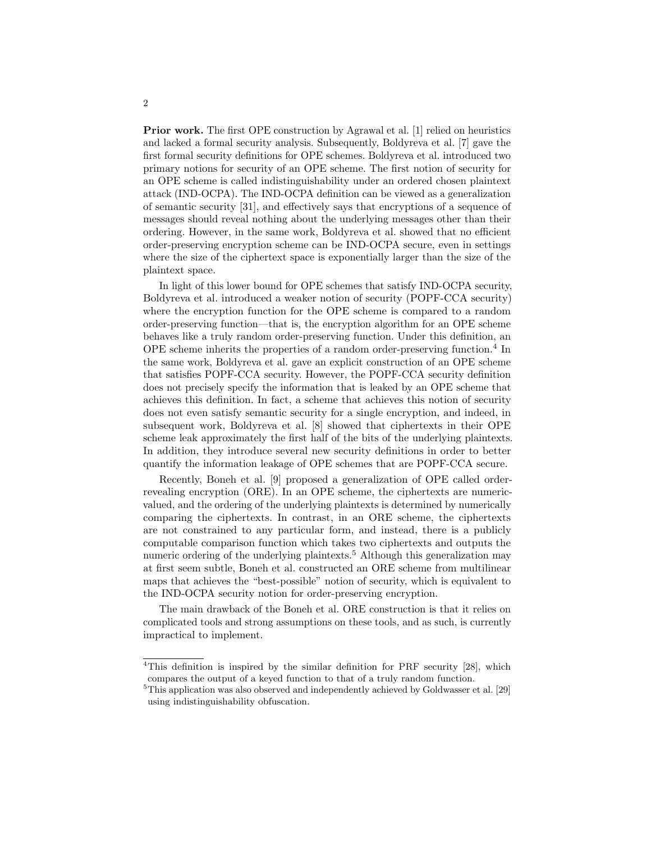Prior work. The first OPE construction by Agrawal et al. [\[1\]](#page-17-0) relied on heuristics and lacked a formal security analysis. Subsequently, Boldyreva et al. [\[7\]](#page-17-1) gave the first formal security definitions for OPE schemes. Boldyreva et al. introduced two primary notions for security of an OPE scheme. The first notion of security for an OPE scheme is called indistinguishability under an ordered chosen plaintext attack (IND-OCPA). The IND-OCPA definition can be viewed as a generalization of semantic security [\[31\]](#page-18-0), and effectively says that encryptions of a sequence of messages should reveal nothing about the underlying messages other than their ordering. However, in the same work, Boldyreva et al. showed that no efficient order-preserving encryption scheme can be IND-OCPA secure, even in settings where the size of the ciphertext space is exponentially larger than the size of the plaintext space.

In light of this lower bound for OPE schemes that satisfy IND-OCPA security, Boldyreva et al. introduced a weaker notion of security (POPF-CCA security) where the encryption function for the OPE scheme is compared to a random order-preserving function—that is, the encryption algorithm for an OPE scheme behaves like a truly random order-preserving function. Under this definition, an OPE scheme inherits the properties of a random order-preserving function.<sup>[4](#page-0-0)</sup> In the same work, Boldyreva et al. gave an explicit construction of an OPE scheme that satisfies POPF-CCA security. However, the POPF-CCA security definition does not precisely specify the information that is leaked by an OPE scheme that achieves this definition. In fact, a scheme that achieves this notion of security does not even satisfy semantic security for a single encryption, and indeed, in subsequent work, Boldyreva et al. [\[8\]](#page-17-2) showed that ciphertexts in their OPE scheme leak approximately the first half of the bits of the underlying plaintexts. In addition, they introduce several new security definitions in order to better quantify the information leakage of OPE schemes that are POPF-CCA secure.

Recently, Boneh et al. [\[9\]](#page-17-3) proposed a generalization of OPE called orderrevealing encryption (ORE). In an OPE scheme, the ciphertexts are numericvalued, and the ordering of the underlying plaintexts is determined by numerically comparing the ciphertexts. In contrast, in an ORE scheme, the ciphertexts are not constrained to any particular form, and instead, there is a publicly computable comparison function which takes two ciphertexts and outputs the numeric ordering of the underlying plaintexts.<sup>[5](#page-0-0)</sup> Although this generalization may at first seem subtle, Boneh et al. constructed an ORE scheme from multilinear maps that achieves the "best-possible" notion of security, which is equivalent to the IND-OCPA security notion for order-preserving encryption.

The main drawback of the Boneh et al. ORE construction is that it relies on complicated tools and strong assumptions on these tools, and as such, is currently impractical to implement.

<sup>&</sup>lt;sup>4</sup>This definition is inspired by the similar definition for PRF security [\[28\]](#page-18-1), which compares the output of a keyed function to that of a truly random function.

<sup>&</sup>lt;sup>5</sup>This application was also observed and independently achieved by Goldwasser et al. [\[29\]](#page-18-2) using indistinguishability obfuscation.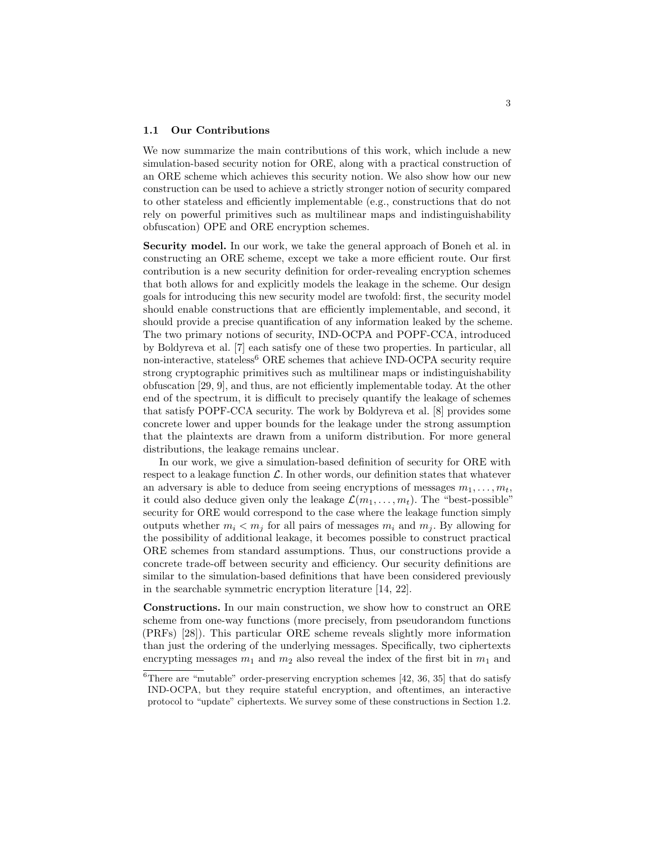#### <span id="page-2-0"></span>1.1 Our Contributions

We now summarize the main contributions of this work, which include a new simulation-based security notion for ORE, along with a practical construction of an ORE scheme which achieves this security notion. We also show how our new construction can be used to achieve a strictly stronger notion of security compared to other stateless and efficiently implementable (e.g., constructions that do not rely on powerful primitives such as multilinear maps and indistinguishability obfuscation) OPE and ORE encryption schemes.

Security model. In our work, we take the general approach of Boneh et al. in constructing an ORE scheme, except we take a more efficient route. Our first contribution is a new security definition for order-revealing encryption schemes that both allows for and explicitly models the leakage in the scheme. Our design goals for introducing this new security model are twofold: first, the security model should enable constructions that are efficiently implementable, and second, it should provide a precise quantification of any information leaked by the scheme. The two primary notions of security, IND-OCPA and POPF-CCA, introduced by Boldyreva et al. [\[7\]](#page-17-1) each satisfy one of these two properties. In particular, all non-interactive, stateless<sup>[6](#page-0-0)</sup> ORE schemes that achieve IND-OCPA security require strong cryptographic primitives such as multilinear maps or indistinguishability obfuscation [\[29,](#page-18-2) [9\]](#page-17-3), and thus, are not efficiently implementable today. At the other end of the spectrum, it is difficult to precisely quantify the leakage of schemes that satisfy POPF-CCA security. The work by Boldyreva et al. [\[8\]](#page-17-2) provides some concrete lower and upper bounds for the leakage under the strong assumption that the plaintexts are drawn from a uniform distribution. For more general distributions, the leakage remains unclear.

In our work, we give a simulation-based definition of security for ORE with respect to a leakage function  $\mathcal{L}$ . In other words, our definition states that whatever an adversary is able to deduce from seeing encryptions of messages  $m_1, \ldots, m_t$ , it could also deduce given only the leakage  $\mathcal{L}(m_1, \ldots, m_t)$ . The "best-possible" security for ORE would correspond to the case where the leakage function simply outputs whether  $m_i < m_j$  for all pairs of messages  $m_i$  and  $m_j$ . By allowing for the possibility of additional leakage, it becomes possible to construct practical ORE schemes from standard assumptions. Thus, our constructions provide a concrete trade-off between security and efficiency. Our security definitions are similar to the simulation-based definitions that have been considered previously in the searchable symmetric encryption literature [\[14,](#page-17-4) [22\]](#page-18-3).

Constructions. In our main construction, we show how to construct an ORE scheme from one-way functions (more precisely, from pseudorandom functions (PRFs) [\[28\]](#page-18-1)). This particular ORE scheme reveals slightly more information than just the ordering of the underlying messages. Specifically, two ciphertexts encrypting messages  $m_1$  and  $m_2$  also reveal the index of the first bit in  $m_1$  and

 ${}^{6}$ There are "mutable" order-preserving encryption schemes [\[42,](#page-19-2) [36,](#page-18-4) [35\]](#page-18-5) that do satisfy IND-OCPA, but they require stateful encryption, and oftentimes, an interactive protocol to "update" ciphertexts. We survey some of these constructions in Section [1.2.](#page-4-0)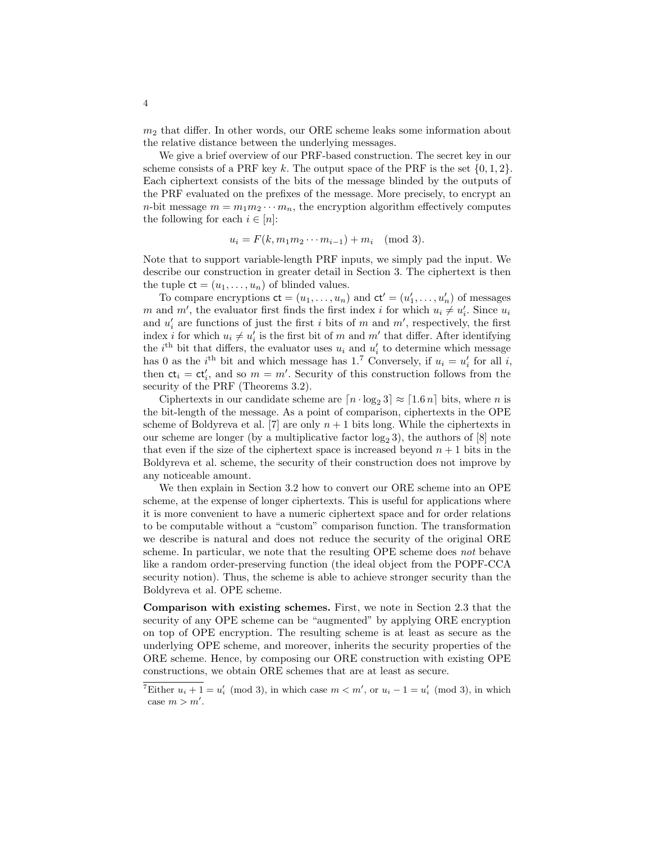$m<sub>2</sub>$  that differ. In other words, our ORE scheme leaks some information about the relative distance between the underlying messages.

We give a brief overview of our PRF-based construction. The secret key in our scheme consists of a PRF key k. The output space of the PRF is the set  $\{0, 1, 2\}$ . Each ciphertext consists of the bits of the message blinded by the outputs of the PRF evaluated on the prefixes of the message. More precisely, to encrypt an *n*-bit message  $m = m_1 m_2 \cdots m_n$ , the encryption algorithm effectively computes the following for each  $i \in [n]$ :

$$
u_i = F(k, m_1 m_2 \cdots m_{i-1}) + m_i \pmod{3}.
$$

Note that to support variable-length PRF inputs, we simply pad the input. We describe our construction in greater detail in Section [3.](#page-9-0) The ciphertext is then the tuple  $ct = (u_1, \ldots, u_n)$  of blinded values.

To compare encryptions  $ct = (u_1, \ldots, u_n)$  and  $ct' = (u'_1, \ldots, u'_n)$  of messages m and m', the evaluator first finds the first index i for which  $u_i \neq u'_i$ . Since  $u_i$ and  $u'_i$  are functions of just the first i bits of m and m', respectively, the first index *i* for which  $u_i \neq u'_i$  is the first bit of m and m' that differ. After identifying the  $i^{\text{th}}$  bit that differs, the evaluator uses  $u_i$  and  $u'_i$  to determine which message has 0 as the *i*<sup>th</sup> bit and which message has 1.<sup>[7](#page-0-0)</sup> Conversely, if  $u_i = u'_i$  for all *i*, then  $ct_i = ct'_i$ , and so  $m = m'$ . Security of this construction follows from the security of the PRF (Theorems [3.2\)](#page-10-0).

Ciphertexts in our candidate scheme are  $\lceil n \cdot \log_2 3 \rceil \approx \lceil 1.6 n \rceil$  bits, where n is the bit-length of the message. As a point of comparison, ciphertexts in the OPE scheme of Boldyreva et al. [\[7\]](#page-17-1) are only  $n + 1$  bits long. While the ciphertexts in our scheme are longer (by a multiplicative factor  $log_2 3$ ), the authors of [\[8\]](#page-17-2) note that even if the size of the ciphertext space is increased beyond  $n + 1$  bits in the Boldyreva et al. scheme, the security of their construction does not improve by any noticeable amount.

We then explain in Section [3.2](#page-12-0) how to convert our ORE scheme into an OPE scheme, at the expense of longer ciphertexts. This is useful for applications where it is more convenient to have a numeric ciphertext space and for order relations to be computable without a "custom" comparison function. The transformation we describe is natural and does not reduce the security of the original ORE scheme. In particular, we note that the resulting OPE scheme does not behave like a random order-preserving function (the ideal object from the POPF-CCA security notion). Thus, the scheme is able to achieve stronger security than the Boldyreva et al. OPE scheme.

Comparison with existing schemes. First, we note in Section [2.3](#page-9-1) that the security of any OPE scheme can be "augmented" by applying ORE encryption on top of OPE encryption. The resulting scheme is at least as secure as the underlying OPE scheme, and moreover, inherits the security properties of the ORE scheme. Hence, by composing our ORE construction with existing OPE constructions, we obtain ORE schemes that are at least as secure.

<sup>&</sup>lt;sup>7</sup>Either  $u_i + 1 = u'_i \pmod{3}$ , in which case  $m < m'$ , or  $u_i - 1 = u'_i \pmod{3}$ , in which case  $m > m'$ .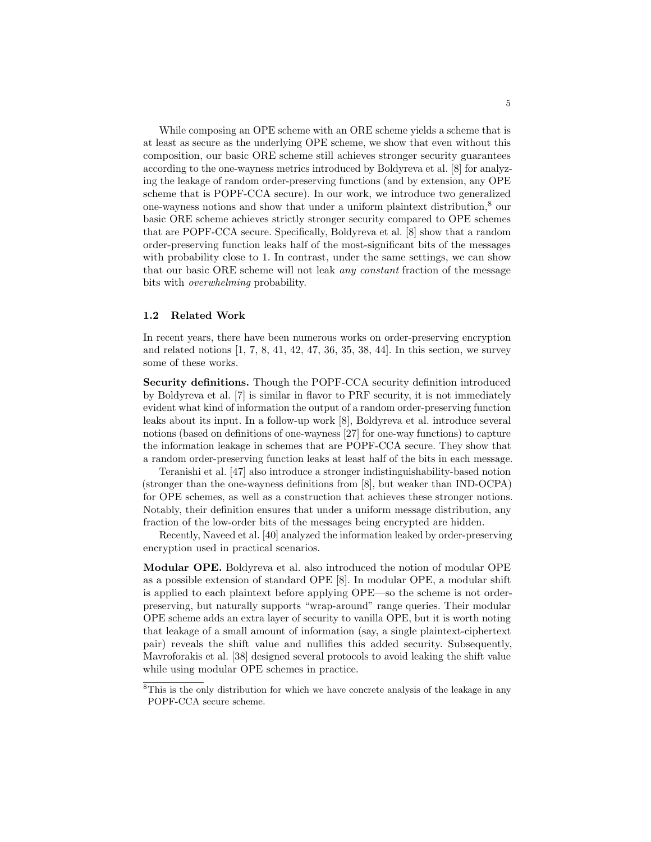While composing an OPE scheme with an ORE scheme yields a scheme that is at least as secure as the underlying OPE scheme, we show that even without this composition, our basic ORE scheme still achieves stronger security guarantees according to the one-wayness metrics introduced by Boldyreva et al. [\[8\]](#page-17-2) for analyzing the leakage of random order-preserving functions (and by extension, any OPE scheme that is POPF-CCA secure). In our work, we introduce two generalized one-wayness notions and show that under a uniform plaintext distribution,[8](#page-0-0) our basic ORE scheme achieves strictly stronger security compared to OPE schemes that are POPF-CCA secure. Specifically, Boldyreva et al. [\[8\]](#page-17-2) show that a random order-preserving function leaks half of the most-significant bits of the messages with probability close to 1. In contrast, under the same settings, we can show that our basic ORE scheme will not leak any constant fraction of the message bits with overwhelming probability.

### <span id="page-4-0"></span>1.2 Related Work

In recent years, there have been numerous works on order-preserving encryption and related notions [\[1,](#page-17-0) [7,](#page-17-1) [8,](#page-17-2) [41,](#page-19-3) [42,](#page-19-2) [47,](#page-19-4) [36,](#page-18-4) [35,](#page-18-5) [38,](#page-19-5) [44\]](#page-19-6). In this section, we survey some of these works.

Security definitions. Though the POPF-CCA security definition introduced by Boldyreva et al. [\[7\]](#page-17-1) is similar in flavor to PRF security, it is not immediately evident what kind of information the output of a random order-preserving function leaks about its input. In a follow-up work [\[8\]](#page-17-2), Boldyreva et al. introduce several notions (based on definitions of one-wayness [\[27\]](#page-18-6) for one-way functions) to capture the information leakage in schemes that are POPF-CCA secure. They show that a random order-preserving function leaks at least half of the bits in each message.

Teranishi et al. [\[47\]](#page-19-4) also introduce a stronger indistinguishability-based notion (stronger than the one-wayness definitions from [\[8\]](#page-17-2), but weaker than IND-OCPA) for OPE schemes, as well as a construction that achieves these stronger notions. Notably, their definition ensures that under a uniform message distribution, any fraction of the low-order bits of the messages being encrypted are hidden.

Recently, Naveed et al. [\[40\]](#page-19-7) analyzed the information leaked by order-preserving encryption used in practical scenarios.

Modular OPE. Boldyreva et al. also introduced the notion of modular OPE as a possible extension of standard OPE [\[8\]](#page-17-2). In modular OPE, a modular shift is applied to each plaintext before applying OPE—so the scheme is not orderpreserving, but naturally supports "wrap-around" range queries. Their modular OPE scheme adds an extra layer of security to vanilla OPE, but it is worth noting that leakage of a small amount of information (say, a single plaintext-ciphertext pair) reveals the shift value and nullifies this added security. Subsequently, Mavroforakis et al. [\[38\]](#page-19-5) designed several protocols to avoid leaking the shift value while using modular OPE schemes in practice.

 ${}^{8}$ This is the only distribution for which we have concrete analysis of the leakage in any POPF-CCA secure scheme.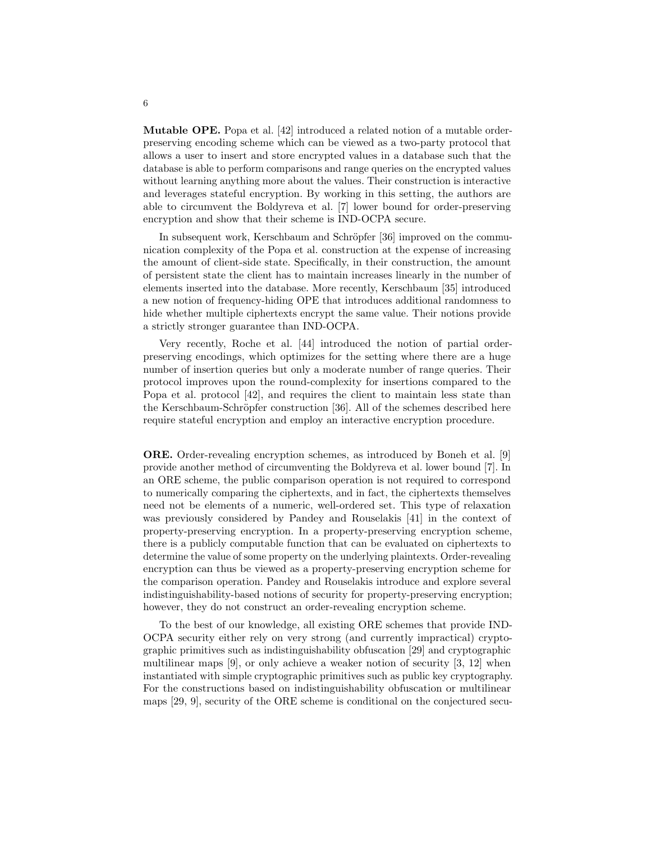Mutable OPE. Popa et al. [\[42\]](#page-19-2) introduced a related notion of a mutable orderpreserving encoding scheme which can be viewed as a two-party protocol that allows a user to insert and store encrypted values in a database such that the database is able to perform comparisons and range queries on the encrypted values without learning anything more about the values. Their construction is interactive and leverages stateful encryption. By working in this setting, the authors are able to circumvent the Boldyreva et al. [\[7\]](#page-17-1) lower bound for order-preserving encryption and show that their scheme is IND-OCPA secure.

In subsequent work, Kerschbaum and Schröpfer [\[36\]](#page-18-4) improved on the communication complexity of the Popa et al. construction at the expense of increasing the amount of client-side state. Specifically, in their construction, the amount of persistent state the client has to maintain increases linearly in the number of elements inserted into the database. More recently, Kerschbaum [\[35\]](#page-18-5) introduced a new notion of frequency-hiding OPE that introduces additional randomness to hide whether multiple ciphertexts encrypt the same value. Their notions provide a strictly stronger guarantee than IND-OCPA.

Very recently, Roche et al. [\[44\]](#page-19-6) introduced the notion of partial orderpreserving encodings, which optimizes for the setting where there are a huge number of insertion queries but only a moderate number of range queries. Their protocol improves upon the round-complexity for insertions compared to the Popa et al. protocol [\[42\]](#page-19-2), and requires the client to maintain less state than the Kerschbaum-Schröpfer construction [\[36\]](#page-18-4). All of the schemes described here require stateful encryption and employ an interactive encryption procedure.

ORE. Order-revealing encryption schemes, as introduced by Boneh et al. [\[9\]](#page-17-3) provide another method of circumventing the Boldyreva et al. lower bound [\[7\]](#page-17-1). In an ORE scheme, the public comparison operation is not required to correspond to numerically comparing the ciphertexts, and in fact, the ciphertexts themselves need not be elements of a numeric, well-ordered set. This type of relaxation was previously considered by Pandey and Rouselakis [\[41\]](#page-19-3) in the context of property-preserving encryption. In a property-preserving encryption scheme, there is a publicly computable function that can be evaluated on ciphertexts to determine the value of some property on the underlying plaintexts. Order-revealing encryption can thus be viewed as a property-preserving encryption scheme for the comparison operation. Pandey and Rouselakis introduce and explore several indistinguishability-based notions of security for property-preserving encryption; however, they do not construct an order-revealing encryption scheme.

To the best of our knowledge, all existing ORE schemes that provide IND-OCPA security either rely on very strong (and currently impractical) cryptographic primitives such as indistinguishability obfuscation [\[29\]](#page-18-2) and cryptographic multilinear maps [\[9\]](#page-17-3), or only achieve a weaker notion of security [\[3,](#page-17-5) [12\]](#page-17-6) when instantiated with simple cryptographic primitives such as public key cryptography. For the constructions based on indistinguishability obfuscation or multilinear maps [\[29,](#page-18-2) [9\]](#page-17-3), security of the ORE scheme is conditional on the conjectured secu-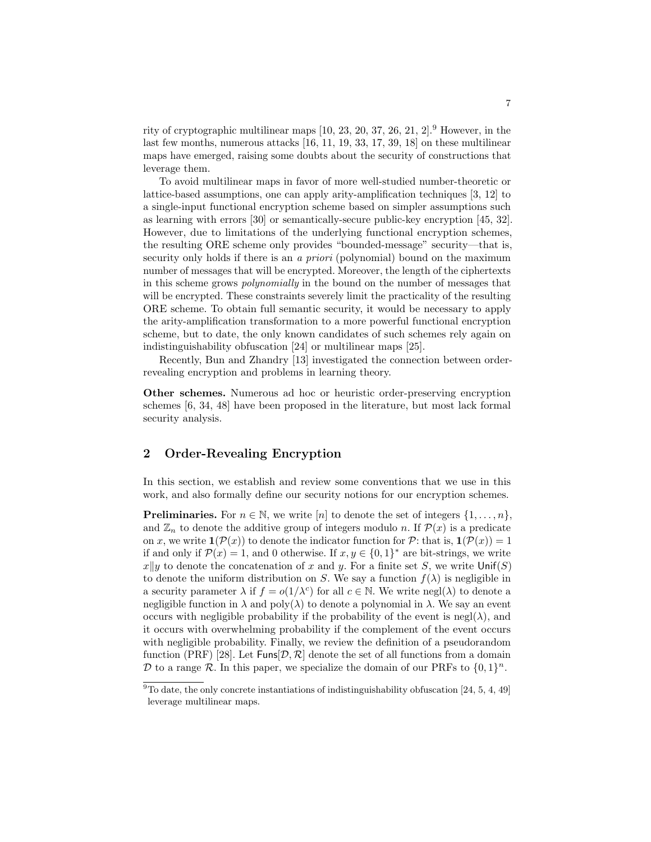rity of cryptographic multilinear maps  $[10, 23, 20, 37, 26, 21, 2]$  $[10, 23, 20, 37, 26, 21, 2]$  $[10, 23, 20, 37, 26, 21, 2]$  $[10, 23, 20, 37, 26, 21, 2]$  $[10, 23, 20, 37, 26, 21, 2]$  $[10, 23, 20, 37, 26, 21, 2]$  $[10, 23, 20, 37, 26, 21, 2]$  $[10, 23, 20, 37, 26, 21, 2]$  $[10, 23, 20, 37, 26, 21, 2]$  $[10, 23, 20, 37, 26, 21, 2]$  $[10, 23, 20, 37, 26, 21, 2]$  $[10, 23, 20, 37, 26, 21, 2]$  $[10, 23, 20, 37, 26, 21, 2]$ . However, in the last few months, numerous attacks [\[16,](#page-18-11) [11,](#page-17-9) [19,](#page-18-12) [33,](#page-18-13) [17,](#page-18-14) [39,](#page-19-9) [18\]](#page-18-15) on these multilinear maps have emerged, raising some doubts about the security of constructions that leverage them.

To avoid multilinear maps in favor of more well-studied number-theoretic or lattice-based assumptions, one can apply arity-amplification techniques [\[3,](#page-17-5) [12\]](#page-17-6) to a single-input functional encryption scheme based on simpler assumptions such as learning with errors [\[30\]](#page-18-16) or semantically-secure public-key encryption [\[45,](#page-19-10) [32\]](#page-18-17). However, due to limitations of the underlying functional encryption schemes, the resulting ORE scheme only provides "bounded-message" security—that is, security only holds if there is an a priori (polynomial) bound on the maximum number of messages that will be encrypted. Moreover, the length of the ciphertexts in this scheme grows polynomially in the bound on the number of messages that will be encrypted. These constraints severely limit the practicality of the resulting ORE scheme. To obtain full semantic security, it would be necessary to apply the arity-amplification transformation to a more powerful functional encryption scheme, but to date, the only known candidates of such schemes rely again on indistinguishability obfuscation [\[24\]](#page-18-18) or multilinear maps [\[25\]](#page-18-19).

Recently, Bun and Zhandry [\[13\]](#page-17-10) investigated the connection between orderrevealing encryption and problems in learning theory.

Other schemes. Numerous ad hoc or heuristic order-preserving encryption schemes [\[6,](#page-17-11) [34,](#page-18-20) [48\]](#page-19-11) have been proposed in the literature, but most lack formal security analysis.

# 2 Order-Revealing Encryption

In this section, we establish and review some conventions that we use in this work, and also formally define our security notions for our encryption schemes.

**Preliminaries.** For  $n \in \mathbb{N}$ , we write [n] to denote the set of integers  $\{1, \ldots, n\}$ . and  $\mathbb{Z}_n$  to denote the additive group of integers modulo n. If  $\mathcal{P}(x)$  is a predicate on x, we write  $\mathbf{1}(\mathcal{P}(x))$  to denote the indicator function for  $\mathcal{P}$ : that is,  $\mathbf{1}(\mathcal{P}(x)) = 1$ if and only if  $\mathcal{P}(x) = 1$ , and 0 otherwise. If  $x, y \in \{0, 1\}^*$  are bit-strings, we write  $x\|y$  to denote the concatenation of x and y. For a finite set S, we write Unif(S) to denote the uniform distribution on S. We say a function  $f(\lambda)$  is negligible in a security parameter  $\lambda$  if  $f = o(1/\lambda^c)$  for all  $c \in \mathbb{N}$ . We write negl( $\lambda$ ) to denote a negligible function in  $\lambda$  and poly $(\lambda)$  to denote a polynomial in  $\lambda$ . We say an event occurs with negligible probability if the probability of the event is negl $(\lambda)$ , and it occurs with overwhelming probability if the complement of the event occurs with negligible probability. Finally, we review the definition of a pseudorandom function (PRF) [\[28\]](#page-18-1). Let  $\text{Funs}[\mathcal{D}, \mathcal{R}]$  denote the set of all functions from a domain D to a range R. In this paper, we specialize the domain of our PRFs to  $\{0,1\}^n$ .

<span id="page-6-0"></span> $9$ To date, the only concrete instantiations of indistinguishability obfuscation [\[24,](#page-18-18) [5,](#page-17-12) [4,](#page-17-13) [49\]](#page-19-12) leverage multilinear maps.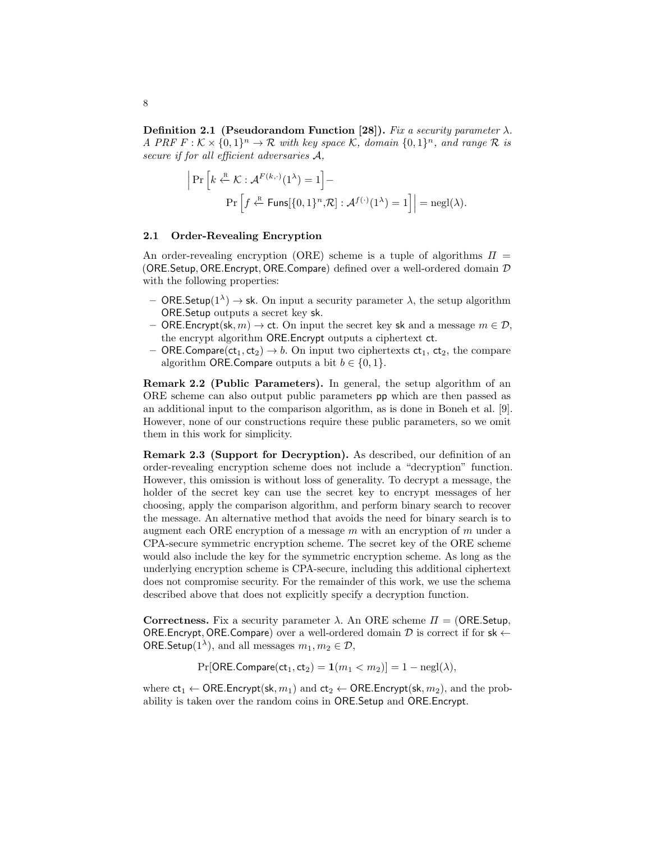Definition 2.1 (Pseudorandom Function [\[28\]](#page-18-1)). Fix a security parameter  $\lambda$ . A PRF  $F : \mathcal{K} \times \{0,1\}^n \to \mathcal{R}$  with key space  $\mathcal{K}$ , domain  $\{0,1\}^n$ , and range  $\mathcal{R}$  is secure if for all efficient adversaries A,

$$
\left| \Pr \left[ k \stackrel{\text{R}}{\leftarrow} \mathcal{K} : \mathcal{A}^{F(k, \cdot)}(1^{\lambda}) = 1 \right] - \right.
$$
  

$$
\left| \Pr \left[ f \stackrel{\text{R}}{\leftarrow} \mathsf{Funs}[\{0, 1\}^n, \mathcal{R}] : \mathcal{A}^{f(\cdot)}(1^{\lambda}) = 1 \right] \right| = \text{negl}(\lambda).
$$

#### 2.1 Order-Revealing Encryption

An order-revealing encryption (ORE) scheme is a tuple of algorithms  $\Pi$  = (ORE. Setup, ORE. Encrypt, ORE. Compare) defined over a well-ordered domain  $D$ with the following properties:

- $-$  ORE. Setup $(1^{\lambda}) \rightarrow$  sk. On input a security parameter  $\lambda$ , the setup algorithm ORE.Setup outputs a secret key sk.
- ORE. Encrypt(sk, m)  $\rightarrow$  ct. On input the secret key sk and a message  $m \in \mathcal{D}$ , the encrypt algorithm ORE.Encrypt outputs a ciphertext ct.
- ORE.Compare(ct<sub>1</sub>, ct<sub>2</sub>)  $\rightarrow$  b. On input two ciphertexts ct<sub>1</sub>, ct<sub>2</sub>, the compare algorithm ORE.Compare outputs a bit  $b \in \{0, 1\}$ .

Remark 2.2 (Public Parameters). In general, the setup algorithm of an ORE scheme can also output public parameters pp which are then passed as an additional input to the comparison algorithm, as is done in Boneh et al. [\[9\]](#page-17-3). However, none of our constructions require these public parameters, so we omit them in this work for simplicity.

Remark 2.3 (Support for Decryption). As described, our definition of an order-revealing encryption scheme does not include a "decryption" function. However, this omission is without loss of generality. To decrypt a message, the holder of the secret key can use the secret key to encrypt messages of her choosing, apply the comparison algorithm, and perform binary search to recover the message. An alternative method that avoids the need for binary search is to augment each ORE encryption of a message  $m$  with an encryption of  $m$  under a CPA-secure symmetric encryption scheme. The secret key of the ORE scheme would also include the key for the symmetric encryption scheme. As long as the underlying encryption scheme is CPA-secure, including this additional ciphertext does not compromise security. For the remainder of this work, we use the schema described above that does not explicitly specify a decryption function.

Correctness. Fix a security parameter λ. An ORE scheme  $\Pi = (ORE. Setup,$ ORE. Encrypt, ORE. Compare) over a well-ordered domain  $\mathcal D$  is correct if for sk  $\leftarrow$ ORE.Setup( $1^{\lambda}$ ), and all messages  $m_1, m_2 \in \mathcal{D}$ ,

 $Pr[ORE. Compare(ct_1, ct_2) = 1(m_1 < m_2)] = 1 - negl(\lambda),$ 

where  $ct_1 \leftarrow \text{ORE.}$ Encrypt(sk,  $m_1$ ) and  $ct_2 \leftarrow \text{ORE.}$ Encrypt(sk,  $m_2$ ), and the probability is taken over the random coins in ORE.Setup and ORE.Encrypt.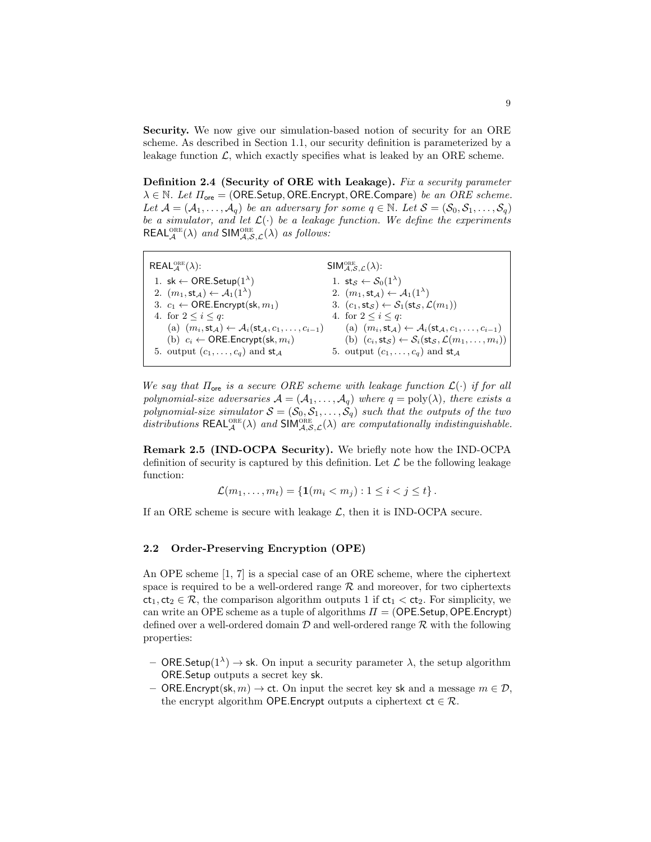Security. We now give our simulation-based notion of security for an ORE scheme. As described in Section [1.1,](#page-2-0) our security definition is parameterized by a leakage function  $\mathcal{L}$ , which exactly specifies what is leaked by an ORE scheme.

<span id="page-8-0"></span>Definition 2.4 (Security of ORE with Leakage). Fix a security parameter  $\lambda \in \mathbb{N}$ . Let  $\Pi_{\text{ore}} = (\text{ORE}.\text{Setup}, \text{ORE}.\text{Property}, \text{ORE}.\text{Compare})$  be an ORE scheme. Let  $\mathcal{A} = (\mathcal{A}_1, \ldots, \mathcal{A}_q)$  be an adversary for some  $q \in \mathbb{N}$ . Let  $\mathcal{S} = (\mathcal{S}_0, \mathcal{S}_1, \ldots, \mathcal{S}_q)$ be a simulator, and let  $\mathcal{L}(\cdot)$  be a leakage function. We define the experiments  $\text{REAL}_{\mathcal{A}}^{\text{ORE}}(\lambda)$  and  $\text{SIM}_{\mathcal{A},\mathcal{S},\mathcal{L}}^{OR}(\lambda)$  as follows:

 $\mathsf{REAL}_{\mathcal{A}}^{\mathrm{ORE}}(\lambda)$ : 1. sk  $\leftarrow$  ORE.Setup $(1^{\lambda})$ 2.  $(m_1, \text{st}_{\mathcal{A}}) \leftarrow \mathcal{A}_1(1^{\lambda})$ 3.  $c_1 \leftarrow$  ORE. Encrypt(sk,  $m_1$ ) 4. for  $2 \leq i \leq q$ : (a)  $(m_i, \text{st}_{\mathcal{A}}) \leftarrow \mathcal{A}_i(\text{st}_{\mathcal{A}}, c_1, \ldots, c_{i-1})$ (b)  $c_i \leftarrow \mathsf{ORE}.\mathsf{Encryption}(\mathsf{sk}, m_i)$ 5. output  $(c_1, \ldots, c_q)$  and st<sub>A</sub>  $SIM_{\mathcal{A},\mathcal{S},\mathcal{L}}^{ORE}(\lambda)$ : 1. st $s \leftarrow S_0(1^{\lambda})$ 2.  $(m_1, \text{st}_{\mathcal{A}}) \leftarrow \mathcal{A}_1(1^{\lambda})$ 3.  $(c_1, \text{st}_{\mathcal{S}}) \leftarrow \mathcal{S}_1(\text{st}_{\mathcal{S}}, \mathcal{L}(m_1))$ 4. for  $2 \leq i \leq q$ : (a)  $(m_i, \text{st}_{\mathcal{A}}) \leftarrow \mathcal{A}_i(\text{st}_{\mathcal{A}}, c_1, \ldots, c_{i-1})$ (b)  $(c_i, \text{sts}) \leftarrow S_i(\text{sts}, \mathcal{L}(m_1, \ldots, m_i))$ 5. output  $(c_1, \ldots, c_q)$  and st<sub>A</sub>

We say that  $\Pi_{\text{ore}}$  is a secure ORE scheme with leakage function  $\mathcal{L}(\cdot)$  if for all polynomial-size adversaries  $A = (A_1, \ldots, A_q)$  where  $q = \text{poly}(\lambda)$ , there exists a polynomial-size simulator  $S = (S_0, S_1, \ldots, S_q)$  such that the outputs of the two distributions  $\text{REAL}_{\mathcal{A}}^{\text{ORE}}(\lambda)$  and  $\text{SIM}_{\mathcal{A},\mathcal{S},\mathcal{L}}^{\text{ORE}}(\lambda)$  are computationally indistinguishable.

Remark 2.5 (IND-OCPA Security). We briefly note how the IND-OCPA definition of security is captured by this definition. Let  $\mathcal L$  be the following leakage function:

 $\mathcal{L}(m_1, \ldots, m_t) = \{ \mathbf{1}(m_i < m_j) : 1 \leq i < j \leq t \}.$ 

If an ORE scheme is secure with leakage  $\mathcal{L}$ , then it is IND-OCPA secure.

#### 2.2 Order-Preserving Encryption (OPE)

An OPE scheme [\[1,](#page-17-0) [7\]](#page-17-1) is a special case of an ORE scheme, where the ciphertext space is required to be a well-ordered range  $R$  and moreover, for two ciphertexts  $ct_1, ct_2 \in \mathcal{R}$ , the comparison algorithm outputs 1 if  $ct_1 < ct_2$ . For simplicity, we can write an OPE scheme as a tuple of algorithms  $\Pi = (OPE \cdot Setup, OPE \cdot Encryption)$ defined over a well-ordered domain  $\mathcal D$  and well-ordered range  $\mathcal R$  with the following properties:

- $-$  ORE. Setup $(1^{\lambda}) \rightarrow$  sk. On input a security parameter  $\lambda$ , the setup algorithm ORE.Setup outputs a secret key sk.
- ORE. Encrypt(sk, m)  $\rightarrow$  ct. On input the secret key sk and a message  $m \in \mathcal{D}$ , the encrypt algorithm OPE. Encrypt outputs a ciphertext  $ct \in \mathcal{R}$ .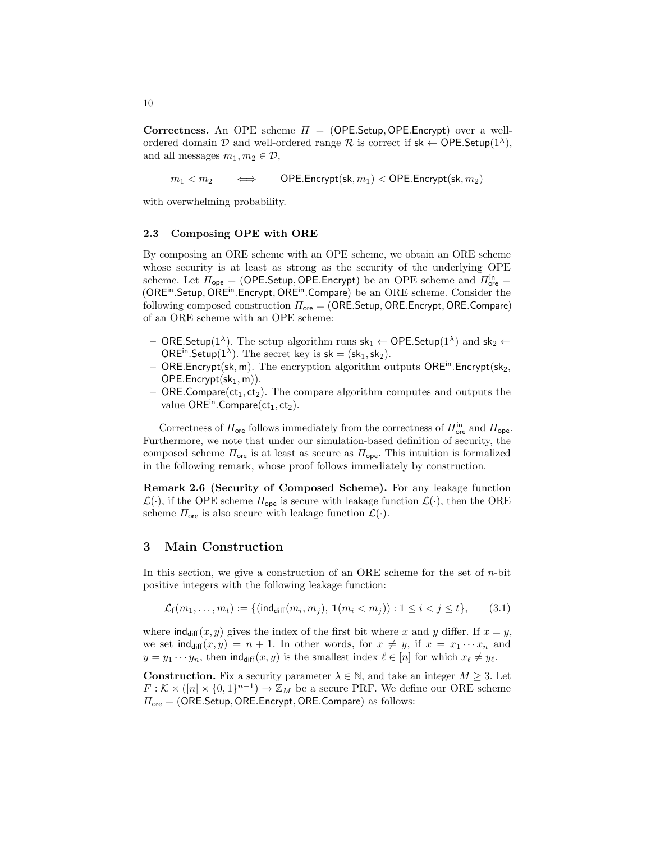Correctness. An OPE scheme  $\Pi = (OPE \text{.Setup}, OPE \text{.}$  Correctness. An OPE scheme  $\Pi = (OPE \text{.Setup}, OPE \text{.}$ ordered domain  $D$  and well-ordered range  $R$  is correct if  $sk \leftarrow$  OPE. Setup $(1^{\lambda})$ , and all messages  $m_1, m_2 \in \mathcal{D}$ ,

 $m_1 < m_2 \qquad \Longleftrightarrow \qquad \text{OPE.}$ Encrypt(sk,  $m_1$ )  $<$  OPE. Encrypt(sk,  $m_2$ )

with overwhelming probability.

## <span id="page-9-1"></span>2.3 Composing OPE with ORE

By composing an ORE scheme with an OPE scheme, we obtain an ORE scheme whose security is at least as strong as the security of the underlying OPE scheme. Let  $\Pi_{ope} = ($ OPE.Setup, OPE.Encrypt) be an OPE scheme and  $\Pi_{ope}^{in} =$ (ORE<sup>in</sup>.Setup, ORE<sup>in</sup>.Encrypt, ORE<sup>in</sup>.Compare) be an ORE scheme. Consider the following composed construction  $\Pi_{\text{ore}} = (\text{ORE}.\text{Setup}, \text{ORE}.\text{Energy}, \text{ORE}.\text{Compare})$ of an ORE scheme with an OPE scheme:

- ORE.Setup(1<sup> $\lambda$ </sup>). The setup algorithm runs  $\mathsf{sk}_1 \leftarrow \mathsf{OPE}$ .Setup(1 $\lambda$ ) and  $\mathsf{sk}_2 \leftarrow$ ORE<sup>in</sup>.Setup(1<sup> $\lambda$ </sup>). The secret key is  $sk = (sk_1, sk_2)$ .
- ORE.Encrypt(sk, m). The encryption algorithm outputs ORE<sup>in</sup>. Encrypt(sk<sub>2</sub>, OPE.Encrypt $(\text{sk}_1, \text{m})$ ).
- ORE. Compare( $ct_1, ct_2$ ). The compare algorithm computes and outputs the value  $ORE^{in}$ . Compare $(ct_1, ct_2)$ .

Correctness of  $\Pi_{\text{ore}}$  follows immediately from the correctness of  $\Pi_{\text{ore}}^{\text{in}}$  and  $\Pi_{\text{ope}}$ . Furthermore, we note that under our simulation-based definition of security, the composed scheme  $\Pi_{\text{ore}}$  is at least as secure as  $\Pi_{\text{ope}}$ . This intuition is formalized in the following remark, whose proof follows immediately by construction.

<span id="page-9-3"></span>Remark 2.6 (Security of Composed Scheme). For any leakage function  $\mathcal{L}(\cdot)$ , if the OPE scheme  $\Pi_{\text{ope}}$  is secure with leakage function  $\mathcal{L}(\cdot)$ , then the ORE scheme  $\Pi_{\text{ore}}$  is also secure with leakage function  $\mathcal{L}(\cdot)$ .

#### <span id="page-9-0"></span>3 Main Construction

In this section, we give a construction of an ORE scheme for the set of n-bit positive integers with the following leakage function:

<span id="page-9-2"></span>
$$
\mathcal{L}_{f}(m_1, \dots, m_t) := \{ (\text{ind}_{\text{diff}}(m_i, m_j), \mathbf{1}(m_i < m_j)) : 1 \le i < j \le t \}, \tag{3.1}
$$

where  $\text{ind}_{\text{diff}}(x, y)$  gives the index of the first bit where x and y differ. If  $x = y$ , we set  $\text{ind}_{\text{diff}}(x, y) = n + 1$ . In other words, for  $x \neq y$ , if  $x = x_1 \cdots x_n$  and  $y = y_1 \cdots y_n$ , then  $\text{ind}_{\text{diff}}(x, y)$  is the smallest index  $\ell \in [n]$  for which  $x_{\ell} \neq y_{\ell}$ .

**Construction.** Fix a security parameter  $\lambda \in \mathbb{N}$ , and take an integer  $M \geq 3$ . Let  $F: \mathcal{K} \times ([n] \times \{0,1\}^{n-1}) \to \mathbb{Z}_M$  be a secure PRF. We define our ORE scheme  $\Pi_{\text{ore}} = (\text{ORE.Setup}, \text{ORE.Encrypt}, \text{ORE.Compare})$  as follows: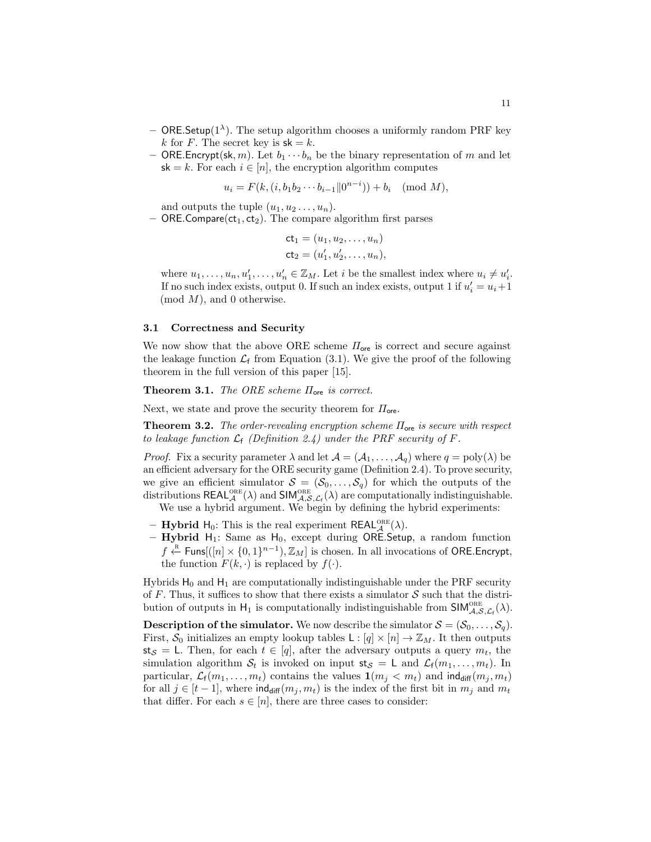- $-$  ORE. Setup(1<sup> $\lambda$ </sup>). The setup algorithm chooses a uniformly random PRF key k for F. The secret key is  $sk = k$ .
- ORE. Encrypt(sk, m). Let  $b_1 \cdots b_n$  be the binary representation of m and let  $sk = k$ . For each  $i \in [n]$ , the encryption algorithm computes

$$
u_i = F(k, (i, b_1 b_2 \cdots b_{i-1} || 0^{n-i})) + b_i \pmod{M},
$$

and outputs the tuple  $(u_1, u_2 \ldots, u_n)$ .

– ORE. Compare $(ct_1, ct_2)$ . The compare algorithm first parses

<span id="page-10-0"></span>
$$
ct1 = (u1, u2,..., un)
$$
  

$$
ct2 = (u'1, u'2,..., un),
$$

where  $u_1, \ldots, u_n, u'_1, \ldots, u'_n \in \mathbb{Z}_M$ . Let *i* be the smallest index where  $u_i \neq u'_i$ . If no such index exists, output 0. If such an index exists, output 1 if  $u'_i = u_i + 1$  $\pmod{M}$ , and 0 otherwise.

#### 3.1 Correctness and Security

We now show that the above ORE scheme  $\Pi_{\text{ore}}$  is correct and secure against the leakage function  $\mathcal{L}_{f}$  from Equation [\(3.1\)](#page-9-2). We give the proof of the following theorem in the full version of this paper [\[15\]](#page-17-14).

<span id="page-10-1"></span>**Theorem 3.1.** The ORE scheme  $\Pi_{\text{ore}}$  is correct.

Next, we state and prove the security theorem for  $\Pi_{\text{ore}}$ .

**Theorem 3.2.** The order-revealing encryption scheme  $\Pi_{\text{ore}}$  is secure with respect to leakage function  $\mathcal{L}_{f}$  (Definition [2.4\)](#page-8-0) under the PRF security of F.

*Proof.* Fix a security parameter  $\lambda$  and let  $\mathcal{A} = (\mathcal{A}_1, \dots, \mathcal{A}_q)$  where  $q = \text{poly}(\lambda)$  be an efficient adversary for the ORE security game (Definition [2.4\)](#page-8-0). To prove security, we give an efficient simulator  $S = (S_0, \ldots, S_q)$  for which the outputs of the distributions  $REAL_{\mathcal{A}}^{ORE}(\lambda)$  and  $SIM_{\mathcal{A},\mathcal{S},\mathcal{L}_{f}}^{ORE}(\lambda)$  are computationally indistinguishable.

We use a hybrid argument. We begin by defining the hybrid experiments:

- **Hybrid**  $H_0$ : This is the real experiment  $\mathsf{REAL}_{\mathcal{A}}^{\text{ORE}}(\lambda)$ .
- Hybrid  $H_1$ : Same as  $H_0$ , except during ORE. Setup, a random function  $f \stackrel{\text{R}}{\leftarrow}$  Funs $[(n] \times \{0,1\}^{n-1})$ ,  $\mathbb{Z}_M]$  is chosen. In all invocations of ORE. Encrypt, the function  $F(k, \cdot)$  is replaced by  $f(\cdot)$ .

Hybrids  $H_0$  and  $H_1$  are computationally indistinguishable under the PRF security of F. Thus, it suffices to show that there exists a simulator  $S$  such that the distribution of outputs in  $H_1$  is computationally indistinguishable from  $SIM_{\mathcal{A},\mathcal{S},\mathcal{L}_f}^{ORE}(\lambda)$ .

**Description of the simulator.** We now describe the simulator  $S = (S_0, \ldots, S_q)$ . First,  $S_0$  initializes an empty lookup tables  $\mathsf{L} : [q] \times [n] \to \mathbb{Z}_M$ . It then outputs  $st_S = L$ . Then, for each  $t \in [q]$ , after the adversary outputs a query  $m_t$ , the simulation algorithm  $S_t$  is invoked on input  $\mathsf{st}_{\mathcal{S}} = \mathsf{L}$  and  $\mathcal{L}_{\mathsf{f}}(m_1, \ldots, m_t)$ . In particular,  $\mathcal{L}_f(m_1,\ldots,m_t)$  contains the values  $\mathbf{1}(m_j < m_t)$  and  $\mathbf{ind}_{\text{diff}}(m_j, m_t)$ for all  $j \in [t-1]$ , where  $\text{ind}_{\text{diff}}(m_j, m_t)$  is the index of the first bit in  $m_j$  and  $m_t$ that differ. For each  $s \in [n]$ , there are three cases to consider: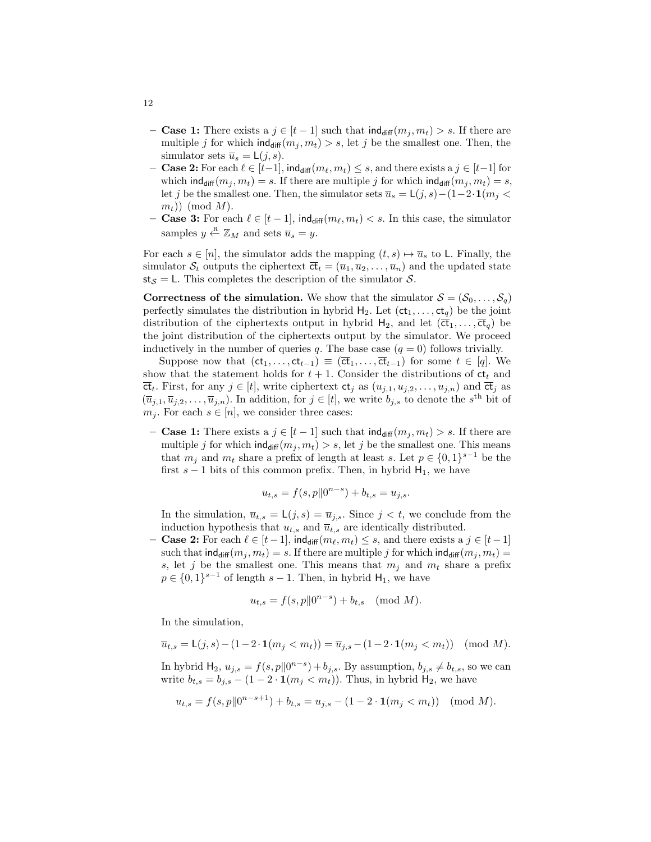- **Case 1:** There exists a  $j \in [t-1]$  such that  $\text{ind}_{diff}(m_j, m_t) > s$ . If there are multiple j for which  $\text{ind}_{\text{diff}}(m_j, m_t) > s$ , let j be the smallest one. Then, the simulator sets  $\overline{u}_s = \mathsf{L}(j, s)$ .
- **Case 2:** For each  $\ell \in [t-1]$ , ind<sub>diff</sub> $(m_{\ell}, m_t) \leq s$ , and there exists a j ∈ [t−1] for which ind<sub>diff</sub> $(m_j, m_t) = s$ . If there are multiple j for which ind<sub>diff</sub> $(m_j, m_t) = s$ , let j be the smallest one. Then, the simulator sets  $\overline{u}_s = \mathsf{L}(j, s) - (1-2\cdot 1(m_i <$  $(m_t)$  (mod M).
- **Case 3:** For each  $\ell \in [t-1]$ ,  $\text{ind}_{\text{diff}}(m_{\ell}, m_t) < s$ . In this case, the simulator samples  $y \stackrel{\text{R}}{\leftarrow} \mathbb{Z}_M$  and sets  $\overline{u}_s = y$ .

For each  $s \in [n]$ , the simulator adds the mapping  $(t, s) \mapsto \overline{u}_s$  to L. Finally, the simulator  $S_t$  outputs the ciphertext  $\overline{\mathsf{ct}}_t = (\overline{u}_1, \overline{u}_2, \dots, \overline{u}_n)$  and the updated state  $st_S = L$ . This completes the description of the simulator S.

Correctness of the simulation. We show that the simulator  $S = (S_0, \ldots, S_q)$ perfectly simulates the distribution in hybrid  $H_2$ . Let  $(ct_1, \ldots, ct_q)$  be the joint distribution of the ciphertexts output in hybrid  $H_2$ , and let  $(\overline{ct}_1, \ldots, \overline{ct}_q)$  be the joint distribution of the ciphertexts output by the simulator. We proceed inductively in the number of queries q. The base case  $(q = 0)$  follows trivially.

Suppose now that  $(ct_1, \ldots, ct_{t-1}) \equiv (\overline{ct}_1, \ldots, \overline{ct}_{t-1})$  for some  $t \in [q]$ . We show that the statement holds for  $t + 1$ . Consider the distributions of  $ct_t$  and  $\overline{\mathsf{ct}}_t$ . First, for any  $j \in [t]$ , write ciphertext  $\mathsf{ct}_j$  as  $(u_{j,1}, u_{j,2}, \ldots, u_{j,n})$  and  $\overline{\mathsf{ct}}_j$  as  $(\overline{u}_{j,1}, \overline{u}_{j,2}, \ldots, \overline{u}_{j,n}).$  In addition, for  $j \in [t]$ , we write  $b_{j,s}$  to denote the s<sup>th</sup> bit of  $m_j$ . For each  $s \in [n]$ , we consider three cases:

– **Case 1:** There exists a  $j \in [t-1]$  such that  $\text{ind}_{\text{diff}}(m_j, m_t) > s$ . If there are multiple j for which  $\text{ind}_{\text{diff}}(m_i, m_t) > s$ , let j be the smallest one. This means that  $m_j$  and  $m_t$  share a prefix of length at least s. Let  $p \in \{0,1\}^{s-1}$  be the first  $s - 1$  bits of this common prefix. Then, in hybrid  $H_1$ , we have

$$
u_{t,s} = f(s,p||0^{n-s}) + b_{t,s} = u_{j,s}.
$$

In the simulation,  $\overline{u}_{t,s} = \mathsf{L}(j,s) = \overline{u}_{j,s}$ . Since  $j < t$ , we conclude from the induction hypothesis that  $u_{t,s}$  and  $\overline{u}_{t,s}$  are identically distributed.

– **Case 2:** For each  $\ell \in [t-1]$ , ind<sub>diff</sub> $(m_{\ell}, m_t) \leq s$ , and there exists a j ∈ [t − 1] such that  $\text{ind}_{\text{diff}}(m_j, m_t) = s$ . If there are multiple j for which  $\text{ind}_{\text{diff}}(m_j, m_t) =$ s, let j be the smallest one. This means that  $m_j$  and  $m_t$  share a prefix  $p \in \{0,1\}^{s-1}$  of length  $s-1$ . Then, in hybrid  $H_1$ , we have

$$
u_{t,s} = f(s,p \| 0^{n-s}) + b_{t,s} \pmod{M}.
$$

In the simulation,

$$
\overline{u}_{t,s} = \mathsf{L}(j,s) - (1 - 2 \cdot \mathbf{1}(m_j < m_t)) = \overline{u}_{j,s} - (1 - 2 \cdot \mathbf{1}(m_j < m_t)) \pmod{M}.
$$

In hybrid  $H_2$ ,  $u_{j,s} = f(s,p||0^{n-s}) + b_{j,s}$ . By assumption,  $b_{j,s} \neq b_{t,s}$ , so we can write  $b_{t,s} = b_{j,s} - (1 - 2 \cdot \mathbf{1}(m_j < m_t))$ . Thus, in hybrid  $H_2$ , we have

$$
u_{t,s} = f(s, p \| 0^{n-s+1}) + b_{t,s} = u_{j,s} - (1 - 2 \cdot \mathbf{1}(m_j < m_t)) \pmod{M}.
$$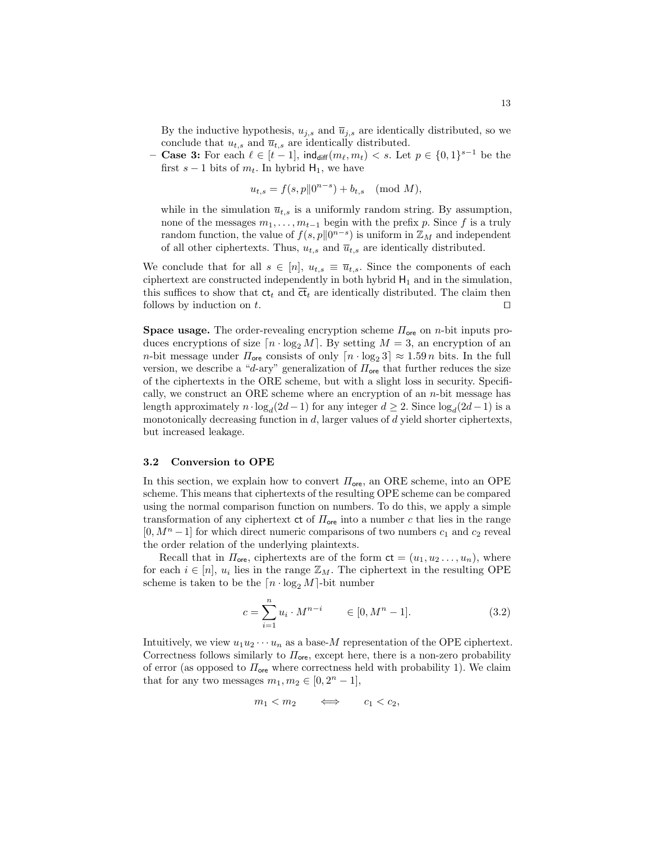By the inductive hypothesis,  $u_{j,s}$  and  $\overline{u}_{j,s}$  are identically distributed, so we conclude that  $u_{t,s}$  and  $\overline{u}_{t,s}$  are identically distributed.

- Case 3: For each  $\ell \in [t-1]$ , ind<sub>diff</sub> $(m_{\ell}, m_t) < s$ . Let  $p \in \{0, 1\}^{s-1}$  be the first  $s - 1$  bits of  $m_t$ . In hybrid  $H_1$ , we have

$$
u_{t,s} = f(s, p \| 0^{n-s}) + b_{t,s} \pmod{M},
$$

while in the simulation  $\bar{u}_{t,s}$  is a uniformly random string. By assumption, none of the messages  $m_1, \ldots, m_{t-1}$  begin with the prefix p. Since f is a truly random function, the value of  $f(s,p||0^{n-s})$  is uniform in  $\mathbb{Z}_M$  and independent of all other ciphertexts. Thus,  $u_{t,s}$  and  $\overline{u}_{t,s}$  are identically distributed.

We conclude that for all  $s \in [n]$ ,  $u_{t,s} \equiv \overline{u}_{t,s}$ . Since the components of each ciphertext are constructed independently in both hybrid  $H_1$  and in the simulation, this suffices to show that  $ct_t$  and  $\overline{ct}_t$  are identically distributed. The claim then follows by induction on t.

**Space usage.** The order-revealing encryption scheme  $\Pi_{\text{ore}}$  on *n*-bit inputs produces encryptions of size  $\lceil n \cdot \log_2 M \rceil$ . By setting  $M = 3$ , an encryption of an *n*-bit message under  $\Pi_{\text{ore}}$  consists of only  $\lceil n \cdot \log_2 3 \rceil \approx 1.59 n$  bits. In the full version, we describe a "d-ary" generalization of  $\Pi_{\text{ore}}$  that further reduces the size of the ciphertexts in the ORE scheme, but with a slight loss in security. Specifically, we construct an ORE scheme where an encryption of an n-bit message has length approximately  $n \cdot \log_d(2d-1)$  for any integer  $d \geq 2$ . Since  $\log_d(2d-1)$  is a monotonically decreasing function in  $d$ , larger values of  $d$  yield shorter ciphertexts, but increased leakage.

#### <span id="page-12-0"></span>3.2 Conversion to OPE

In this section, we explain how to convert  $\Pi_{\text{ore}}$ , an ORE scheme, into an OPE scheme. This means that ciphertexts of the resulting OPE scheme can be compared using the normal comparison function on numbers. To do this, we apply a simple transformation of any ciphertext ct of  $\Pi_{\text{ore}}$  into a number c that lies in the range  $[0, M<sup>n</sup> - 1]$  for which direct numeric comparisons of two numbers  $c_1$  and  $c_2$  reveal the order relation of the underlying plaintexts.

Recall that in  $\Pi_{\text{ore}}$ , ciphertexts are of the form  $\mathsf{ct} = (u_1, u_2, \ldots, u_n)$ , where for each  $i \in [n]$ ,  $u_i$  lies in the range  $\mathbb{Z}_M$ . The ciphertext in the resulting OPE scheme is taken to be the  $\lceil n \cdot \log_2 M \rceil$ -bit number

<span id="page-12-1"></span>
$$
c = \sum_{i=1}^{n} u_i \cdot M^{n-i} \qquad \in [0, M^n - 1]. \tag{3.2}
$$

Intuitively, we view  $u_1u_2\cdots u_n$  as a base-M representation of the OPE ciphertext. Correctness follows similarly to  $\Pi_{\text{ore}}$ , except here, there is a non-zero probability of error (as opposed to  $\Pi_{\text{ore}}$  where correctness held with probability 1). We claim that for any two messages  $m_1, m_2 \in [0, 2<sup>n</sup> - 1],$ 

$$
m_1 < m_2 \qquad \Longleftrightarrow \qquad c_1 < c_2
$$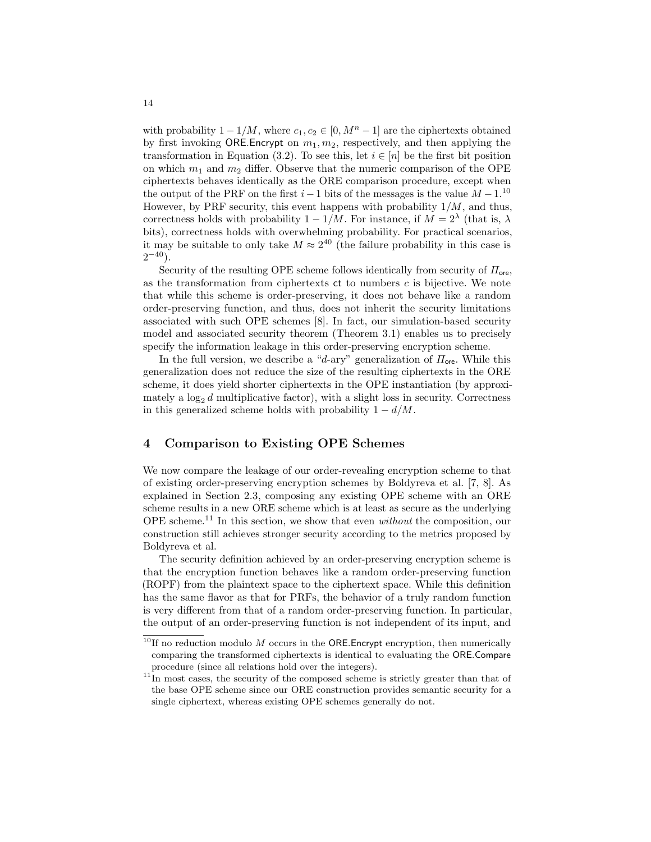with probability  $1 - 1/M$ , where  $c_1, c_2 \in [0, M^n - 1]$  are the ciphertexts obtained by first invoking ORE. Encrypt on  $m_1, m_2$ , respectively, and then applying the transformation in Equation [\(3.2\)](#page-12-1). To see this, let  $i \in [n]$  be the first bit position on which  $m_1$  and  $m_2$  differ. Observe that the numeric comparison of the OPE ciphertexts behaves identically as the ORE comparison procedure, except when the output of the PRF on the first  $i-1$  bits of the messages is the value  $M-1$ .<sup>[10](#page-0-0)</sup> However, by PRF security, this event happens with probability  $1/M$ , and thus, correctness holds with probability  $1 - 1/M$ . For instance, if  $M = 2^{\lambda}$  (that is,  $\lambda$ ) bits), correctness holds with overwhelming probability. For practical scenarios, it may be suitable to only take  $M \approx 2^{40}$  (the failure probability in this case is  $2^{-40}$ ).

Security of the resulting OPE scheme follows identically from security of  $\Pi_{\text{ore}}$ , as the transformation from ciphertexts  $ct$  to numbers  $c$  is bijective. We note that while this scheme is order-preserving, it does not behave like a random order-preserving function, and thus, does not inherit the security limitations associated with such OPE schemes [\[8\]](#page-17-2). In fact, our simulation-based security model and associated security theorem (Theorem [3.1\)](#page-10-1) enables us to precisely specify the information leakage in this order-preserving encryption scheme.

In the full version, we describe a "d-ary" generalization of  $\Pi_{\text{ore}}$ . While this generalization does not reduce the size of the resulting ciphertexts in the ORE scheme, it does yield shorter ciphertexts in the OPE instantiation (by approximately a  $\log_2 d$  multiplicative factor), with a slight loss in security. Correctness in this generalized scheme holds with probability  $1 - d/M$ .

## 4 Comparison to Existing OPE Schemes

We now compare the leakage of our order-revealing encryption scheme to that of existing order-preserving encryption schemes by Boldyreva et al. [\[7,](#page-17-1) [8\]](#page-17-2). As explained in Section [2.3,](#page-9-1) composing any existing OPE scheme with an ORE scheme results in a new ORE scheme which is at least as secure as the underlying OPE scheme.<sup>[11](#page-0-0)</sup> In this section, we show that even *without* the composition, our construction still achieves stronger security according to the metrics proposed by Boldyreva et al.

The security definition achieved by an order-preserving encryption scheme is that the encryption function behaves like a random order-preserving function (ROPF) from the plaintext space to the ciphertext space. While this definition has the same flavor as that for PRFs, the behavior of a truly random function is very different from that of a random order-preserving function. In particular, the output of an order-preserving function is not independent of its input, and

<sup>&</sup>lt;sup>10</sup>If no reduction modulo  $M$  occurs in the ORE. Encrypt encryption, then numerically comparing the transformed ciphertexts is identical to evaluating the ORE.Compare procedure (since all relations hold over the integers).

 $11$ In most cases, the security of the composed scheme is strictly greater than that of the base OPE scheme since our ORE construction provides semantic security for a single ciphertext, whereas existing OPE schemes generally do not.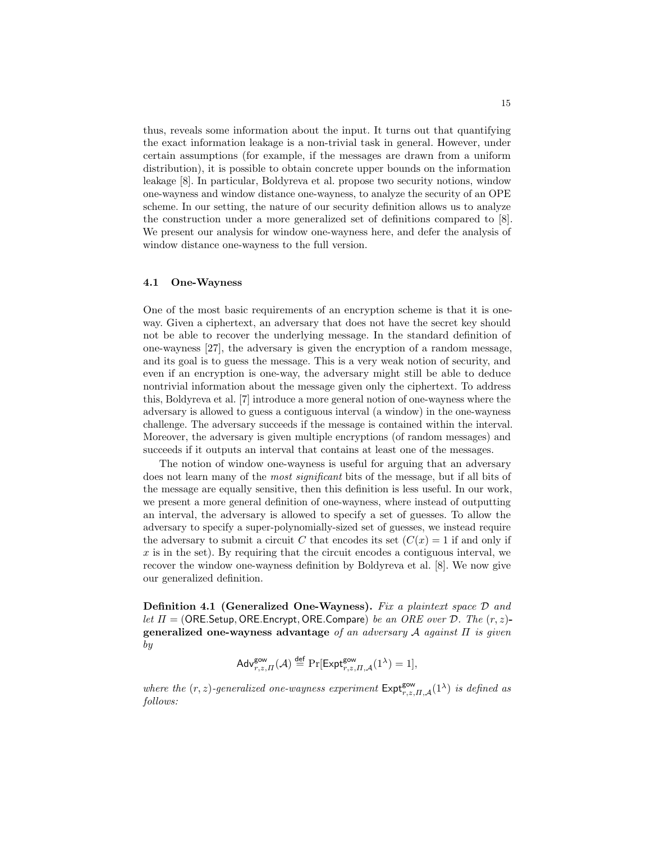thus, reveals some information about the input. It turns out that quantifying the exact information leakage is a non-trivial task in general. However, under certain assumptions (for example, if the messages are drawn from a uniform distribution), it is possible to obtain concrete upper bounds on the information leakage [\[8\]](#page-17-2). In particular, Boldyreva et al. propose two security notions, window one-wayness and window distance one-wayness, to analyze the security of an OPE scheme. In our setting, the nature of our security definition allows us to analyze the construction under a more generalized set of definitions compared to [\[8\]](#page-17-2). We present our analysis for window one-wayness here, and defer the analysis of window distance one-wayness to the full version.

#### 4.1 One-Wayness

One of the most basic requirements of an encryption scheme is that it is oneway. Given a ciphertext, an adversary that does not have the secret key should not be able to recover the underlying message. In the standard definition of one-wayness [\[27\]](#page-18-6), the adversary is given the encryption of a random message, and its goal is to guess the message. This is a very weak notion of security, and even if an encryption is one-way, the adversary might still be able to deduce nontrivial information about the message given only the ciphertext. To address this, Boldyreva et al. [\[7\]](#page-17-1) introduce a more general notion of one-wayness where the adversary is allowed to guess a contiguous interval (a window) in the one-wayness challenge. The adversary succeeds if the message is contained within the interval. Moreover, the adversary is given multiple encryptions (of random messages) and succeeds if it outputs an interval that contains at least one of the messages.

The notion of window one-wayness is useful for arguing that an adversary does not learn many of the most significant bits of the message, but if all bits of the message are equally sensitive, then this definition is less useful. In our work, we present a more general definition of one-wayness, where instead of outputting an interval, the adversary is allowed to specify a set of guesses. To allow the adversary to specify a super-polynomially-sized set of guesses, we instead require the adversary to submit a circuit C that encodes its set  $(C(x) = 1$  if and only if  $x$  is in the set). By requiring that the circuit encodes a contiguous interval, we recover the window one-wayness definition by Boldyreva et al. [\[8\]](#page-17-2). We now give our generalized definition.

Definition 4.1 (Generalized One-Wayness). Fix a plaintext space  $\mathcal D$  and let  $\Pi$  = (ORE.Setup, ORE.Encrypt, ORE.Compare) be an ORE over D. The  $(r, z)$ generalized one-wayness advantage of an adversary  $A$  against  $\Pi$  is given by

$$
\mathsf{Adv}_{r,z,\varPi}^{\mathsf{gow}}(\mathcal{A}) \stackrel{\mathsf{def}}{=} \Pr[\mathsf{Expt}_{r,z,\varPi,\mathcal{A}}^{\mathsf{gow}}(1^\lambda) = 1],
$$

where the  $(r, z)$ -generalized one-wayness experiment  $\text{Expt}_{r, z, \Pi, \mathcal{A}}^{\text{gow}}(1^{\lambda})$  is defined as follows: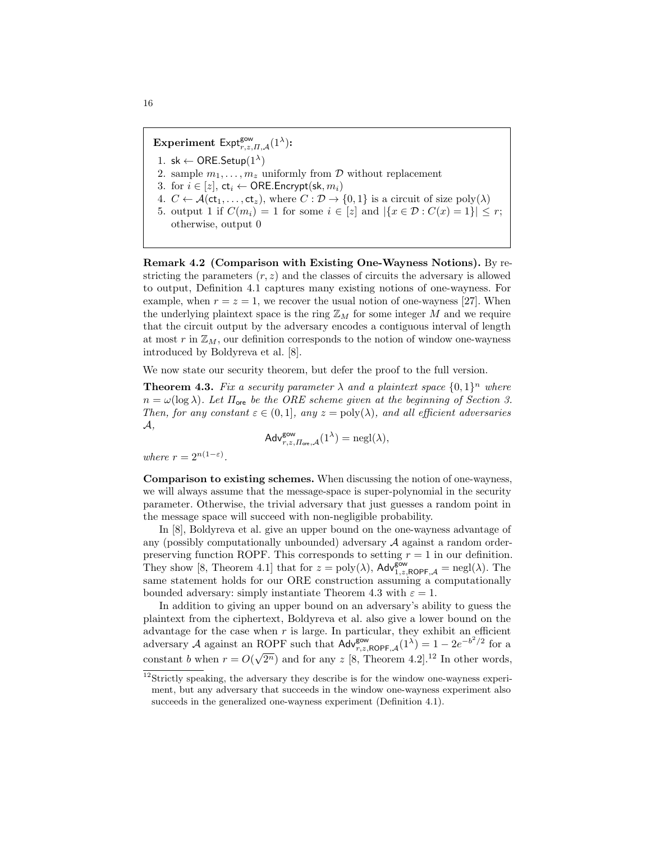Experiment  $\text{Expt}_{r,z,\Pi,\mathcal{A}}^{\text{gow}}(1^{\lambda})$ :

1. sk  $\leftarrow$  ORE.Setup $(1^{\lambda})$ 

- 2. sample  $m_1, \ldots, m_z$  uniformly from  $\mathcal D$  without replacement
- 3. for  $i \in [z]$ ,  $ct_i \leftarrow$  ORE. Encrypt(sk,  $m_i$ )
- 4.  $C \leftarrow \mathcal{A}(\mathsf{ct}_1, \dots, \mathsf{ct}_z)$ , where  $C : \mathcal{D} \rightarrow \{0, 1\}$  is a circuit of size poly $(\lambda)$
- 5. output 1 if  $C(m_i) = 1$  for some  $i \in [z]$  and  $|\{x \in \mathcal{D} : C(x) = 1\}| \leq r$ ; otherwise, output 0

Remark 4.2 (Comparison with Existing One-Wayness Notions). By restricting the parameters  $(r, z)$  and the classes of circuits the adversary is allowed to output, Definition [4.1](#page-6-0) captures many existing notions of one-wayness. For example, when  $r = z = 1$ , we recover the usual notion of one-wayness [\[27\]](#page-18-6). When the underlying plaintext space is the ring  $\mathbb{Z}_M$  for some integer M and we require that the circuit output by the adversary encodes a contiguous interval of length at most r in  $\mathbb{Z}_M$ , our definition corresponds to the notion of window one-wayness introduced by Boldyreva et al. [\[8\]](#page-17-2).

We now state our security theorem, but defer the proof to the full version.

**Theorem 4.3.** Fix a security parameter  $\lambda$  and a plaintext space  $\{0,1\}^n$  where  $n = \omega(\log \lambda)$ . Let  $\Pi_{\text{ore}}$  be the ORE scheme given at the beginning of Section [3.](#page-9-0) Then, for any constant  $\varepsilon \in (0,1]$ , any  $z = \text{poly}(\lambda)$ , and all efficient adversaries A,

<span id="page-15-0"></span>
$$
\mathsf{Adv}_{r,z,\varPi_{\mathrm{ore}},\mathcal{A}}^{\mathrm{gow}}(1^{\lambda}) = \mathrm{negl}(\lambda),
$$

where  $r = 2^{n(1-\varepsilon)}$ .

Comparison to existing schemes. When discussing the notion of one-wayness, we will always assume that the message-space is super-polynomial in the security parameter. Otherwise, the trivial adversary that just guesses a random point in the message space will succeed with non-negligible probability.

In [\[8\]](#page-17-2), Boldyreva et al. give an upper bound on the one-wayness advantage of any (possibly computationally unbounded) adversary  $A$  against a random orderpreserving function ROPF. This corresponds to setting  $r = 1$  in our definition. They show [\[8,](#page-17-2) Theorem 4.1] that for  $z = \text{poly}(\lambda)$ ,  $\text{Adv}_{1,z,\text{ROPF},\mathcal{A}}^{\text{gow}} = \text{negl}(\lambda)$ . The same statement holds for our ORE construction assuming a computationally bounded adversary: simply instantiate Theorem [4.3](#page-15-0) with  $\varepsilon = 1$ .

In addition to giving an upper bound on an adversary's ability to guess the plaintext from the ciphertext, Boldyreva et al. also give a lower bound on the advantage for the case when  $r$  is large. In particular, they exhibit an efficient adversary A against an ROPF such that  $\text{Adv}_{r,z,\text{ROPF},\mathcal{A}}^{gow}(1^{\lambda}) = 1 - 2e^{-b^2/2}$  for a constant b when  $r = O(\sqrt{2^n})$  and for any z [\[8,](#page-17-2) Theorem 4.2].<sup>[12](#page-0-0)</sup> In other words,

 $12$ Strictly speaking, the adversary they describe is for the window one-wayness experiment, but any adversary that succeeds in the window one-wayness experiment also succeeds in the generalized one-wayness experiment (Definition [4.1\)](#page-6-0).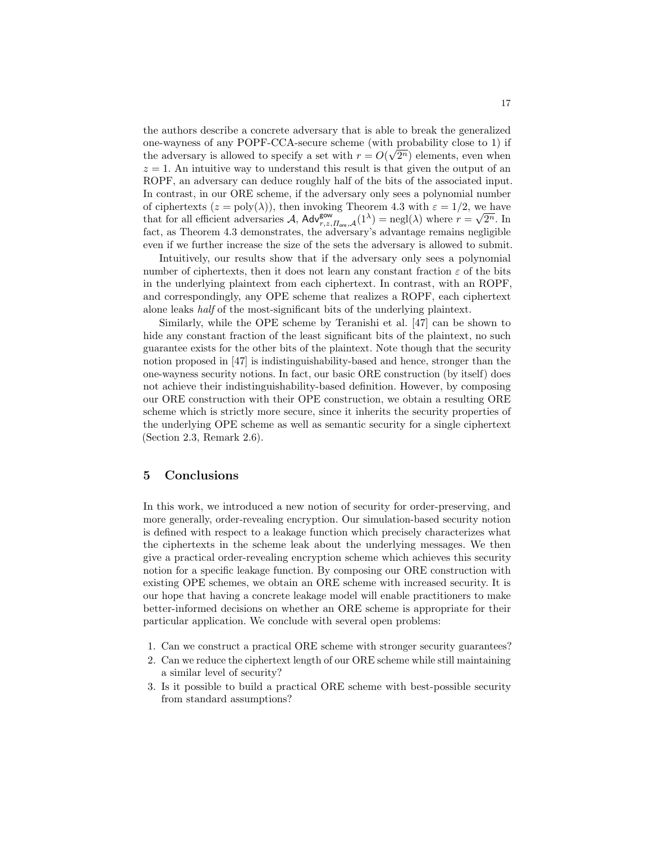the authors describe a concrete adversary that is able to break the generalized one-wayness of any POPF-CCA-secure scheme (with probability close to 1) if the adversary is allowed to specify a set with  $r = O(\sqrt{2^n})$  elements, even when  $z = 1$ . An intuitive way to understand this result is that given the output of an ROPF, an adversary can deduce roughly half of the bits of the associated input. In contrast, in our ORE scheme, if the adversary only sees a polynomial number of ciphertexts  $(z = \text{poly}(\lambda))$ , then invoking Theorem [4.3](#page-15-0) with  $\varepsilon = 1/2$ , we have that for all efficient adversaries A,  $\mathsf{Adv}_{r,z,\Pi_{\text{ore}},\mathcal{A}}^{\text{gow}}(1^{\lambda}) = \text{negl}(\lambda)$  where  $r = \sqrt{2^n}$ . In fact, as Theorem [4.3](#page-15-0) demonstrates, the adversary's advantage remains negligible even if we further increase the size of the sets the adversary is allowed to submit.

Intuitively, our results show that if the adversary only sees a polynomial number of ciphertexts, then it does not learn any constant fraction  $\varepsilon$  of the bits in the underlying plaintext from each ciphertext. In contrast, with an ROPF, and correspondingly, any OPE scheme that realizes a ROPF, each ciphertext alone leaks half of the most-significant bits of the underlying plaintext.

Similarly, while the OPE scheme by Teranishi et al. [\[47\]](#page-19-4) can be shown to hide any constant fraction of the least significant bits of the plaintext, no such guarantee exists for the other bits of the plaintext. Note though that the security notion proposed in [\[47\]](#page-19-4) is indistinguishability-based and hence, stronger than the one-wayness security notions. In fact, our basic ORE construction (by itself) does not achieve their indistinguishability-based definition. However, by composing our ORE construction with their OPE construction, we obtain a resulting ORE scheme which is strictly more secure, since it inherits the security properties of the underlying OPE scheme as well as semantic security for a single ciphertext (Section [2.3,](#page-9-1) Remark [2.6\)](#page-9-3).

### 5 Conclusions

In this work, we introduced a new notion of security for order-preserving, and more generally, order-revealing encryption. Our simulation-based security notion is defined with respect to a leakage function which precisely characterizes what the ciphertexts in the scheme leak about the underlying messages. We then give a practical order-revealing encryption scheme which achieves this security notion for a specific leakage function. By composing our ORE construction with existing OPE schemes, we obtain an ORE scheme with increased security. It is our hope that having a concrete leakage model will enable practitioners to make better-informed decisions on whether an ORE scheme is appropriate for their particular application. We conclude with several open problems:

- 1. Can we construct a practical ORE scheme with stronger security guarantees?
- 2. Can we reduce the ciphertext length of our ORE scheme while still maintaining a similar level of security?
- 3. Is it possible to build a practical ORE scheme with best-possible security from standard assumptions?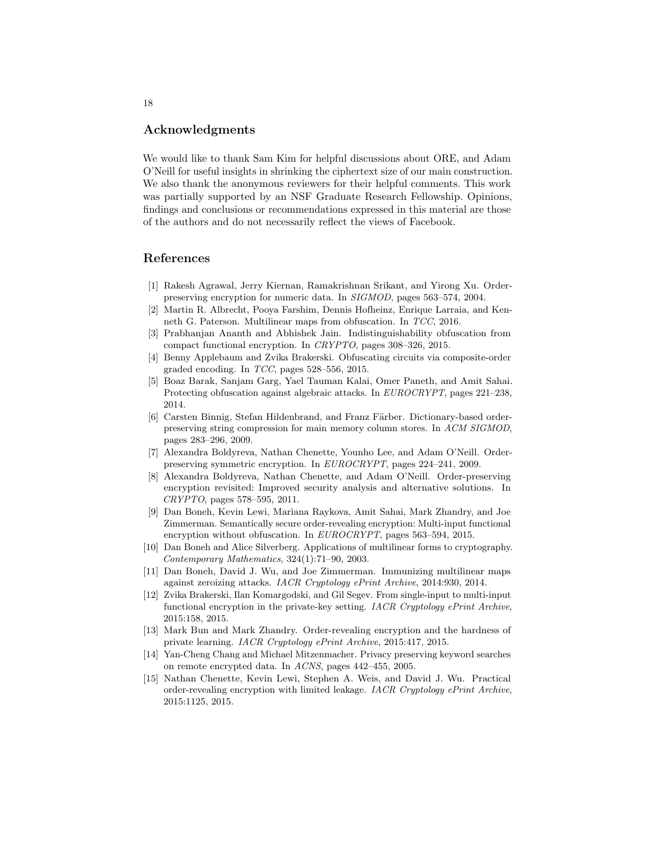## Acknowledgments

We would like to thank Sam Kim for helpful discussions about ORE, and Adam O'Neill for useful insights in shrinking the ciphertext size of our main construction. We also thank the anonymous reviewers for their helpful comments. This work was partially supported by an NSF Graduate Research Fellowship. Opinions, findings and conclusions or recommendations expressed in this material are those of the authors and do not necessarily reflect the views of Facebook.

## References

- <span id="page-17-0"></span>[1] Rakesh Agrawal, Jerry Kiernan, Ramakrishnan Srikant, and Yirong Xu. Orderpreserving encryption for numeric data. In SIGMOD, pages 563–574, 2004.
- <span id="page-17-8"></span>[2] Martin R. Albrecht, Pooya Farshim, Dennis Hofheinz, Enrique Larraia, and Kenneth G. Paterson. Multilinear maps from obfuscation. In TCC, 2016.
- <span id="page-17-5"></span>[3] Prabhanjan Ananth and Abhishek Jain. Indistinguishability obfuscation from compact functional encryption. In CRYPTO, pages 308–326, 2015.
- <span id="page-17-13"></span>[4] Benny Applebaum and Zvika Brakerski. Obfuscating circuits via composite-order graded encoding. In TCC, pages 528–556, 2015.
- <span id="page-17-12"></span>[5] Boaz Barak, Sanjam Garg, Yael Tauman Kalai, Omer Paneth, and Amit Sahai. Protecting obfuscation against algebraic attacks. In EUROCRYPT, pages 221–238, 2014.
- <span id="page-17-11"></span>[6] Carsten Binnig, Stefan Hildenbrand, and Franz Färber. Dictionary-based orderpreserving string compression for main memory column stores. In ACM SIGMOD, pages 283–296, 2009.
- <span id="page-17-1"></span>[7] Alexandra Boldyreva, Nathan Chenette, Younho Lee, and Adam O'Neill. Orderpreserving symmetric encryption. In EUROCRYPT, pages 224–241, 2009.
- <span id="page-17-2"></span>[8] Alexandra Boldyreva, Nathan Chenette, and Adam O'Neill. Order-preserving encryption revisited: Improved security analysis and alternative solutions. In CRYPTO, pages 578–595, 2011.
- <span id="page-17-3"></span>[9] Dan Boneh, Kevin Lewi, Mariana Raykova, Amit Sahai, Mark Zhandry, and Joe Zimmerman. Semantically secure order-revealing encryption: Multi-input functional encryption without obfuscation. In EUROCRYPT, pages 563–594, 2015.
- <span id="page-17-7"></span>[10] Dan Boneh and Alice Silverberg. Applications of multilinear forms to cryptography. Contemporary Mathematics, 324(1):71–90, 2003.
- <span id="page-17-9"></span>[11] Dan Boneh, David J. Wu, and Joe Zimmerman. Immunizing multilinear maps against zeroizing attacks. IACR Cryptology ePrint Archive, 2014:930, 2014.
- <span id="page-17-6"></span>[12] Zvika Brakerski, Ilan Komargodski, and Gil Segev. From single-input to multi-input functional encryption in the private-key setting. IACR Cryptology ePrint Archive, 2015:158, 2015.
- <span id="page-17-10"></span>[13] Mark Bun and Mark Zhandry. Order-revealing encryption and the hardness of private learning. IACR Cryptology ePrint Archive, 2015:417, 2015.
- <span id="page-17-4"></span>[14] Yan-Cheng Chang and Michael Mitzenmacher. Privacy preserving keyword searches on remote encrypted data. In ACNS, pages 442–455, 2005.
- <span id="page-17-14"></span>[15] Nathan Chenette, Kevin Lewi, Stephen A. Weis, and David J. Wu. Practical order-revealing encryption with limited leakage. IACR Cryptology ePrint Archive, 2015:1125, 2015.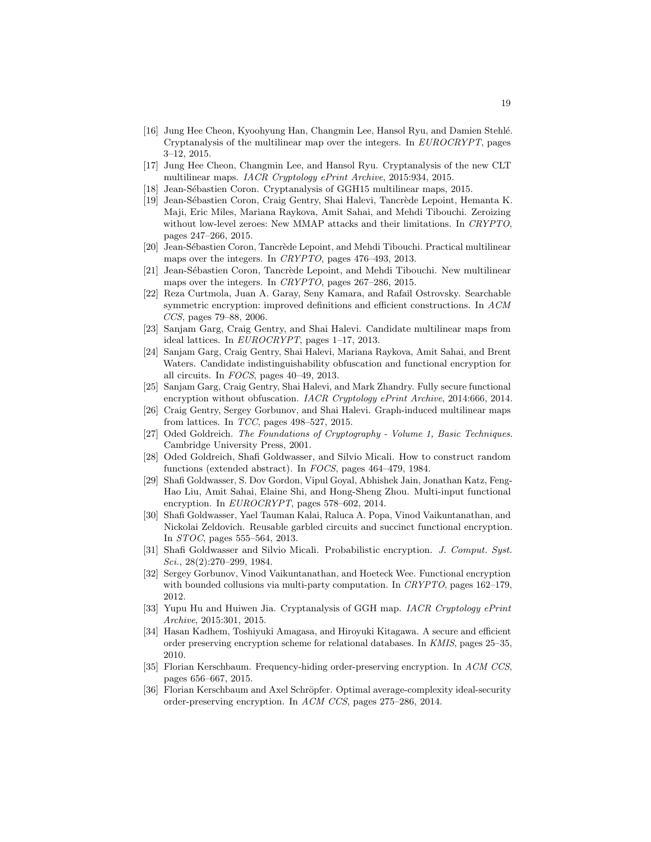- <span id="page-18-11"></span>[16] Jung Hee Cheon, Kyoohyung Han, Changmin Lee, Hansol Ryu, and Damien Stehl´e. Cryptanalysis of the multilinear map over the integers. In EUROCRYPT, pages 3–12, 2015.
- <span id="page-18-14"></span>[17] Jung Hee Cheon, Changmin Lee, and Hansol Ryu. Cryptanalysis of the new CLT multilinear maps. IACR Cryptology ePrint Archive, 2015:934, 2015.
- <span id="page-18-15"></span>[18] Jean-Sébastien Coron. Cryptanalysis of GGH15 multilinear maps, 2015.
- <span id="page-18-12"></span>[19] Jean-Sébastien Coron, Craig Gentry, Shai Halevi, Tancrède Lepoint, Hemanta K. Maji, Eric Miles, Mariana Raykova, Amit Sahai, and Mehdi Tibouchi. Zeroizing without low-level zeroes: New MMAP attacks and their limitations. In CRYPTO, pages 247–266, 2015.
- <span id="page-18-8"></span>[20] Jean-Sébastien Coron, Tancrède Lepoint, and Mehdi Tibouchi. Practical multilinear maps over the integers. In CRYPTO, pages 476–493, 2013.
- <span id="page-18-10"></span>[21] Jean-Sébastien Coron, Tancrède Lepoint, and Mehdi Tibouchi. New multilinear maps over the integers. In CRYPTO, pages 267–286, 2015.
- <span id="page-18-3"></span>[22] Reza Curtmola, Juan A. Garay, Seny Kamara, and Rafail Ostrovsky. Searchable symmetric encryption: improved definitions and efficient constructions. In ACM CCS, pages 79–88, 2006.
- <span id="page-18-7"></span>[23] Sanjam Garg, Craig Gentry, and Shai Halevi. Candidate multilinear maps from ideal lattices. In EUROCRYPT, pages 1–17, 2013.
- <span id="page-18-18"></span>[24] Sanjam Garg, Craig Gentry, Shai Halevi, Mariana Raykova, Amit Sahai, and Brent Waters. Candidate indistinguishability obfuscation and functional encryption for all circuits. In FOCS, pages 40–49, 2013.
- <span id="page-18-19"></span>[25] Sanjam Garg, Craig Gentry, Shai Halevi, and Mark Zhandry. Fully secure functional encryption without obfuscation. IACR Cryptology ePrint Archive, 2014:666, 2014.
- <span id="page-18-9"></span>[26] Craig Gentry, Sergey Gorbunov, and Shai Halevi. Graph-induced multilinear maps from lattices. In TCC, pages 498–527, 2015.
- <span id="page-18-6"></span>[27] Oded Goldreich. The Foundations of Cryptography - Volume 1, Basic Techniques. Cambridge University Press, 2001.
- <span id="page-18-1"></span>[28] Oded Goldreich, Shafi Goldwasser, and Silvio Micali. How to construct random functions (extended abstract). In FOCS, pages 464–479, 1984.
- <span id="page-18-2"></span>[29] Shafi Goldwasser, S. Dov Gordon, Vipul Goyal, Abhishek Jain, Jonathan Katz, Feng-Hao Liu, Amit Sahai, Elaine Shi, and Hong-Sheng Zhou. Multi-input functional encryption. In EUROCRYPT, pages 578–602, 2014.
- <span id="page-18-16"></span>[30] Shafi Goldwasser, Yael Tauman Kalai, Raluca A. Popa, Vinod Vaikuntanathan, and Nickolai Zeldovich. Reusable garbled circuits and succinct functional encryption. In STOC, pages 555–564, 2013.
- <span id="page-18-0"></span>[31] Shafi Goldwasser and Silvio Micali. Probabilistic encryption. J. Comput. Syst. Sci., 28(2):270–299, 1984.
- <span id="page-18-17"></span>[32] Sergey Gorbunov, Vinod Vaikuntanathan, and Hoeteck Wee. Functional encryption with bounded collusions via multi-party computation. In CRYPTO, pages 162–179, 2012.
- <span id="page-18-13"></span>[33] Yupu Hu and Huiwen Jia. Cryptanalysis of GGH map. IACR Cryptology ePrint Archive, 2015:301, 2015.
- <span id="page-18-20"></span>[34] Hasan Kadhem, Toshiyuki Amagasa, and Hiroyuki Kitagawa. A secure and efficient order preserving encryption scheme for relational databases. In KMIS, pages 25–35, 2010.
- <span id="page-18-5"></span>[35] Florian Kerschbaum. Frequency-hiding order-preserving encryption. In ACM CCS, pages 656–667, 2015.
- <span id="page-18-4"></span>[36] Florian Kerschbaum and Axel Schröpfer. Optimal average-complexity ideal-security order-preserving encryption. In ACM CCS, pages 275–286, 2014.